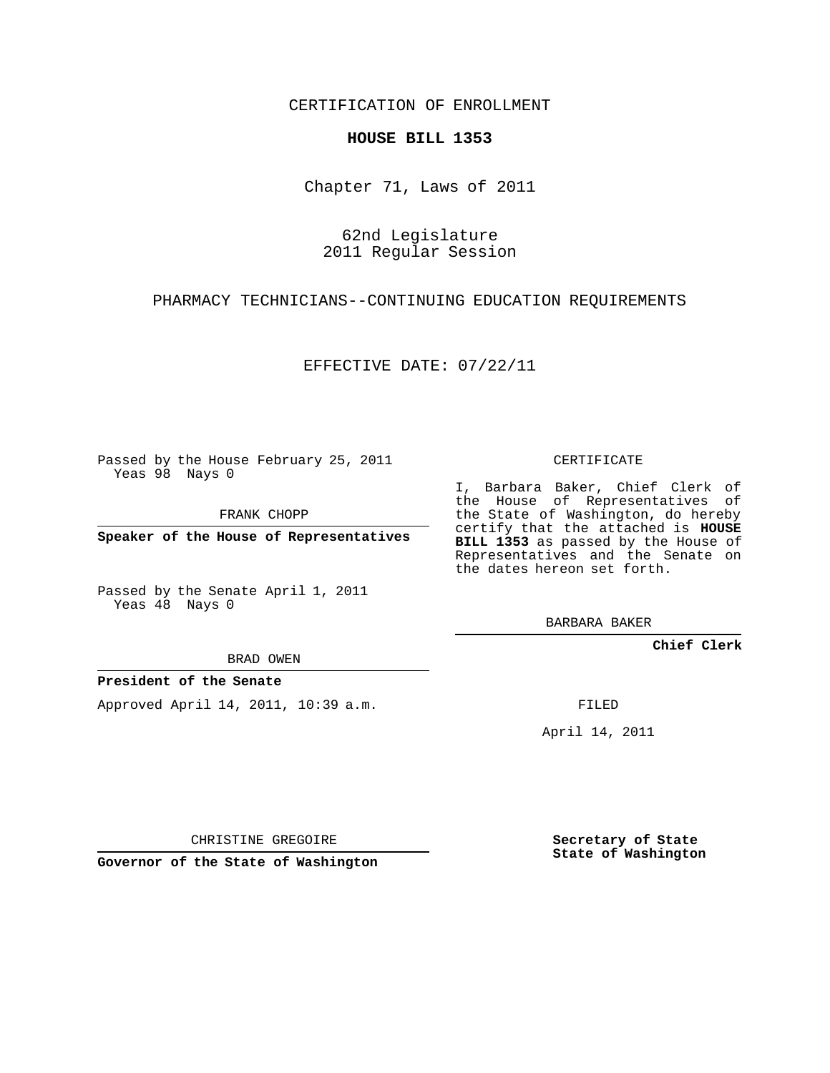CERTIFICATION OF ENROLLMENT

## **HOUSE BILL 1353**

Chapter 71, Laws of 2011

62nd Legislature 2011 Regular Session

PHARMACY TECHNICIANS--CONTINUING EDUCATION REQUIREMENTS

EFFECTIVE DATE: 07/22/11

Passed by the House February 25, 2011 Yeas 98 Nays 0

FRANK CHOPP

**Speaker of the House of Representatives**

Passed by the Senate April 1, 2011 Yeas 48 Nays 0

BRAD OWEN

## **President of the Senate**

Approved April 14, 2011, 10:39 a.m.

CERTIFICATE

I, Barbara Baker, Chief Clerk of the House of Representatives of the State of Washington, do hereby certify that the attached is **HOUSE BILL 1353** as passed by the House of Representatives and the Senate on the dates hereon set forth.

BARBARA BAKER

**Chief Clerk**

FILED

April 14, 2011

CHRISTINE GREGOIRE

**Governor of the State of Washington**

**Secretary of State State of Washington**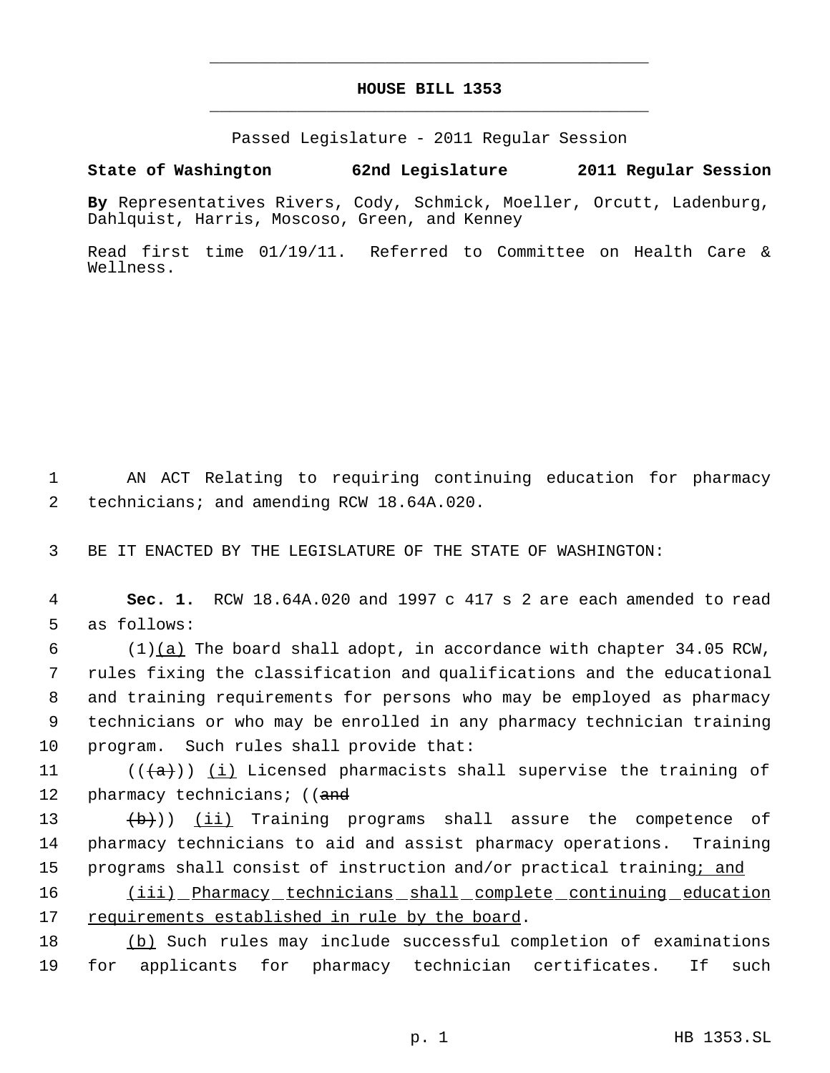## **HOUSE BILL 1353** \_\_\_\_\_\_\_\_\_\_\_\_\_\_\_\_\_\_\_\_\_\_\_\_\_\_\_\_\_\_\_\_\_\_\_\_\_\_\_\_\_\_\_\_\_

\_\_\_\_\_\_\_\_\_\_\_\_\_\_\_\_\_\_\_\_\_\_\_\_\_\_\_\_\_\_\_\_\_\_\_\_\_\_\_\_\_\_\_\_\_

Passed Legislature - 2011 Regular Session

**State of Washington 62nd Legislature 2011 Regular Session**

**By** Representatives Rivers, Cody, Schmick, Moeller, Orcutt, Ladenburg, Dahlquist, Harris, Moscoso, Green, and Kenney

Read first time 01/19/11. Referred to Committee on Health Care & Wellness.

 1 AN ACT Relating to requiring continuing education for pharmacy 2 technicians; and amending RCW 18.64A.020.

3 BE IT ENACTED BY THE LEGISLATURE OF THE STATE OF WASHINGTON:

 4 **Sec. 1.** RCW 18.64A.020 and 1997 c 417 s 2 are each amended to read 5 as follows:

 (1)(a) The board shall adopt, in accordance with chapter 34.05 RCW, rules fixing the classification and qualifications and the educational and training requirements for persons who may be employed as pharmacy technicians or who may be enrolled in any pharmacy technician training program. Such rules shall provide that:

11 ( $(\langle a \rangle)$ ) (i) Licensed pharmacists shall supervise the training of 12 pharmacy technicians; ((and

13 (b)) (ii) Training programs shall assure the competence of 14 pharmacy technicians to aid and assist pharmacy operations. Training 15 programs shall consist of instruction and/or practical training; and

16 (iii) Pharmacy technicians shall complete continuing education 17 requirements established in rule by the board.

18 (b) Such rules may include successful completion of examinations 19 for applicants for pharmacy technician certificates. If such